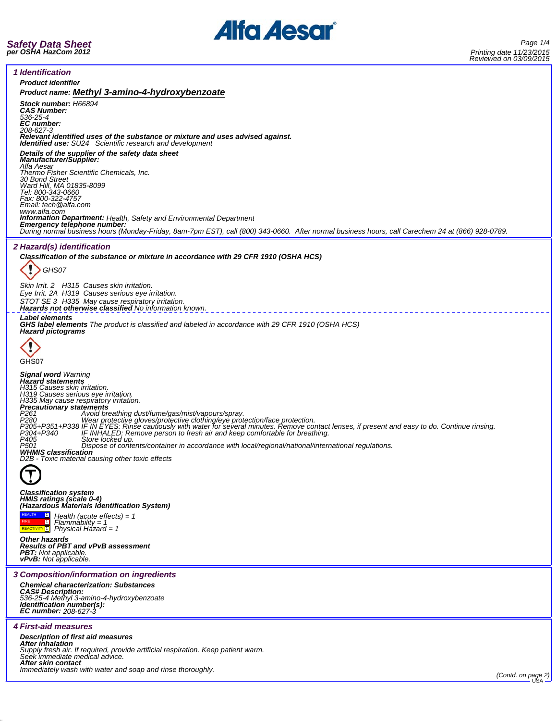

*1 Identification*

*Product identifier Product name: Methyl 3-amino-4-hydroxybenzoate Stock number: H66894 CAS Number: 536-25-4 EC number: 208-627-3 Relevant identified uses of the substance or mixture and uses advised against. Identified use: SU24 Scientific research and development Details of the supplier of the safety data sheet Manufacturer/Supplier: Alfa Aesar Thermo Fisher Scientific Chemicals, Inc. 30 Bond Street Ward Hill, MA 01835-8099 Tel: 800-343-0660 Fax: 800-322-4757 Email: tech@alfa.com* www.alfa.com<br>**Information Department:** Health, Safety and Environmental Department **Information Department:** Health, Safety and Environmental Department<br>**Emergency telephone number:**<br>During normal business hours (Monday-Friday, 8am-7pm EST), call (800) 343-0660. After normal business hours, call Carechem *2 Hazard(s) identification Classification of the substance or mixture in accordance with 29 CFR 1910 (OSHA HCS)* ï *GHS07 Skin Irrit. 2 H315 Causes skin irritation. Eye Irrit. 2A H319 Causes serious eye irritation. STOT SE 3 H335 May cause respiratory irritation. Hazards not otherwise classified No information known. Label elements GHS label elements The product is classified and labeled in accordance with 29 CFR 1910 (OSHA HCS) Hazard pictograms* GHS<sub>07</sub> *Signal word Warning Hazard statements H315 Causes skin irritation. H319 Causes serious eye irritation. H335 May cause respiratory irritation. Precautionary statements* P261 *Avoid breathing dust/fume/gas/mist/vapours/spray.*<br>P380 Wear protective gloves/protective cothing/eye protection/face protection.<br>P305+P351+P338 IF IN EYES: Rinse cautiously with water for several minutes. Remove con *D2B - Toxic material causing other toxic effects Classification system HMIS ratings (scale 0-4) (Hazardous Materials Identification System) Health (acute effects) = 1* HEALTH 1 **FIRE** 1 *Flammability = 1 Physical Hazard = 1* REACTIVITY<sup>1</sup> *Other hazards Results of PBT and vPvB assessment PBT: Not applicable. vPvB: Not applicable. 3 Composition/information on ingredients Chemical characterization: Substances CAS# Description: 536-25-4 Methyl 3-amino-4-hydroxybenzoate Identification number(s): EC number: 208-627-3 4 First-aid measures Description of first aid measures After inhalation Supply fresh air. If required, provide artificial respiration. Keep patient warm. Seek immediate medical advice. After skin contact Immediately wash with water and soap and rinse thoroughly. (Contd. on page 2)* USA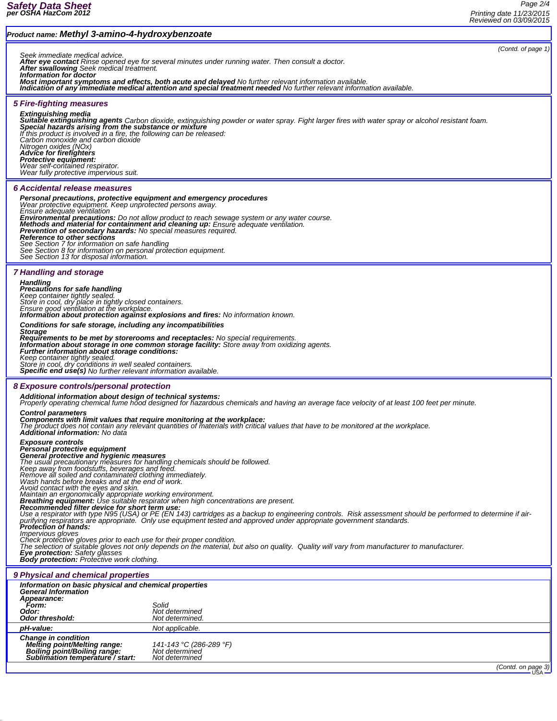# *Product name: Methyl 3-amino-4-hydroxybenzoate*

*(Contd. of page 1)*

*Seek immediate medical advice. After eye contact Rinse opened eye for several minutes under running water. Then consult a doctor. After swallowing Seek medical treatment.*

*Information for doctor*

*Most important symptoms and effects, both acute and delayed No further relevant information available. Indication of any immediate medical attention and special treatment needed No further relevant information available.*

## *5 Fire-fighting measures*

*Extinguishing media*

*Suitable extinguishing agents Carbon dioxide, extinguishing powder or water spray. Fight larger fires with water spray or alcohol resistant foam. Special hazards arising from the substance or mixture If this product is involved in a fire, the following can be released: Carbon monoxide and carbon dioxide Nitrogen oxides (NOx) Advice for firefighters*

*Protective equipment: Wear self-contained respirator. Wear fully protective impervious suit.*

#### *6 Accidental release measures*

*Personal precautions, protective equipment and emergency procedures Wear protective equipment. Keep unprotected persons away. Ensure adequate ventilation* **Environmental precautions:** Do not allow product to reach sewage system or any water course.<br>**Methods and material for containment and cleaning up:** Ensure adequate ventilation.<br>**Prevention of secondary hazards:** No speci

# *7 Handling and storage*

*Handling Precautions for safe handling* Keep container tightly sealed. ¯<br>Store in cool, dry place in tightly closed containers.<br>Ensure good ventilation at the workplace.<br>**Information about protection against explosions and fires:** No information known.

*Conditions for safe storage, including any incompatibilities Storage*

Requirements to be met by storerooms and receptacles: No special requirements.<br>Information about storage in one common storage facility: Store away from oxidizing agents.<br>Further information about storage conditions: *Keep container tightly sealed. Store in cool, dry conditions in well sealed containers. Specific end use(s) No further relevant information available.*

#### *8 Exposure controls/personal protection*

*Additional information about design of technical systems: Properly operating chemical fume hood designed for hazardous chemicals and having an average face velocity of at least 100 feet per minute.*

# *Control parameters*

**Components with limit values that require monitoring at the workplace:**<br>The product does not contain any relevant quantities of materials with critical values that have to be monitored at the workplace.<br>**Additional inform** 

## *Exposure controls*

*Personal protective equipment*

#### *General protective and hygienic measures*

The usual precautionary measures for handling chemicals should be followed.<br>Keep away from foodstuffs, beverages and feed.<br>Remove all soiled and contaminated clothing immediately.<br>Wash hands before breaks and at the end of

Maintain an ergonomically appropriate working environment.<br>**Breathing equipment:** Use suitable respirator when high concentrations are present.<br>**Recommended filter device for short term use:** 

Use a respirator with type N95 (USA) or PE (EN 143) cartridges as a backup to engineering controls. Risk assessment should be performed to determine if air-<br>purifying respirators are appropriate. Only use equipment tested

*Impervious gloves*

Check protective gloves prior to each use for their proper condition.<br>The selection of suitable gloves not only depends on the material, but also on quality. Quality will vary from manufacturer to manufacturer.

*Eye protection: Safety glasses Body protection: Protective work clothing.*

# *9 Physical and chemical properties*

| Information on basic physical and chemical properties<br><b>General Information</b><br>Appearance:<br>Form:<br>Odor:<br><b>Odor threshold:</b> | Solid<br>Not determined<br>Not determined.                  |  |  |
|------------------------------------------------------------------------------------------------------------------------------------------------|-------------------------------------------------------------|--|--|
| pH-value:                                                                                                                                      | Not applicable.                                             |  |  |
| <b>Change in condition</b><br><b>Melting point/Melting range:</b><br>Boiling point/Boiling range:<br>Sublimation temperature / start:          | 141-143 °C (286-289 °F)<br>Not determined<br>Not determined |  |  |

*(Contd. on page 3)*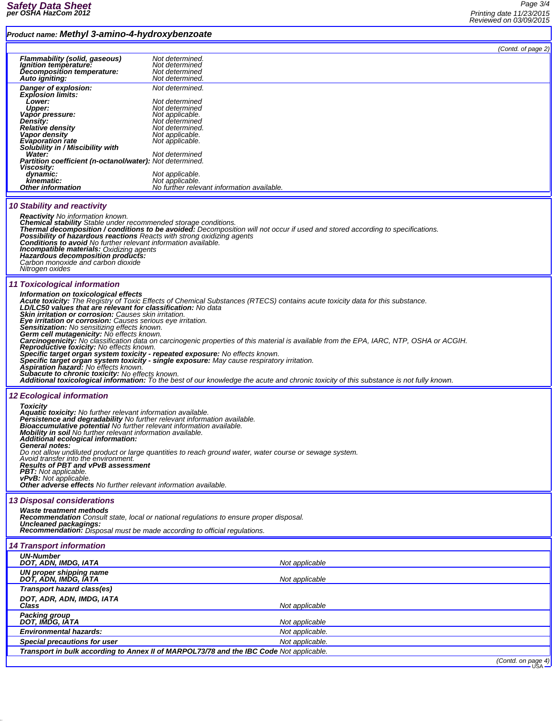# *Product name: Methyl 3-amino-4-hydroxybenzoate*

*Page 3/4 Printing date 11/23/2015 Reviewed on 03/09/2015*

| Product name: Methyl 3-amin0-4-hydroxybenzoate                                                                                                   |                                                                                                                                                                       |                             |
|--------------------------------------------------------------------------------------------------------------------------------------------------|-----------------------------------------------------------------------------------------------------------------------------------------------------------------------|-----------------------------|
|                                                                                                                                                  |                                                                                                                                                                       | (Contd. of page 2)          |
| <b>Flammability (solid, gaseous)</b>                                                                                                             | Not determined.                                                                                                                                                       |                             |
| Ignition temperature:                                                                                                                            | Not determined                                                                                                                                                        |                             |
| Decomposition temperature:<br>Auto igniting:                                                                                                     | Not determined<br>Not determined.                                                                                                                                     |                             |
|                                                                                                                                                  |                                                                                                                                                                       |                             |
| Danger of explosion:<br><b>Explosion limits:</b>                                                                                                 | Not determined.                                                                                                                                                       |                             |
| Lower:                                                                                                                                           | Not determined                                                                                                                                                        |                             |
| <b>Upper:</b>                                                                                                                                    | Not determined                                                                                                                                                        |                             |
| Vapor pressure:<br>Density:                                                                                                                      | Not applicable.<br>Not determined                                                                                                                                     |                             |
| <b>Relative density</b>                                                                                                                          | Not determined.                                                                                                                                                       |                             |
| Vapor density                                                                                                                                    | Not applicable.                                                                                                                                                       |                             |
| <b>Evaporation rate</b><br>Solubility in / Miscibility with                                                                                      | Not applicable.                                                                                                                                                       |                             |
| Water:                                                                                                                                           | Not determined                                                                                                                                                        |                             |
| Partition coefficient (n-octanol/water): Not determined.<br>Viscosity:                                                                           |                                                                                                                                                                       |                             |
| dynamic:                                                                                                                                         | Not applicable.                                                                                                                                                       |                             |
| kinematic:                                                                                                                                       | Not applicable.                                                                                                                                                       |                             |
| <b>Other information</b>                                                                                                                         | No further relevant information available.                                                                                                                            |                             |
| <b>10 Stability and reactivity</b>                                                                                                               |                                                                                                                                                                       |                             |
| <b>Reactivity</b> No information known.                                                                                                          |                                                                                                                                                                       |                             |
| Chemical stability Stable under recommended storage conditions.                                                                                  |                                                                                                                                                                       |                             |
|                                                                                                                                                  | Thermal decomposition / conditions to be avoided: Decomposition will not occur if used and stored according to specifications.                                        |                             |
| Possibility of hazardous reactions Reacts with strong oxidizing agents<br><b>Conditions to avoid</b> No further relevant information available.  |                                                                                                                                                                       |                             |
| <b>Incompatible materials: Oxidizing agents</b>                                                                                                  |                                                                                                                                                                       |                             |
| Hazardous decomposition products:<br>Carbon monoxide and carbon dioxide                                                                          |                                                                                                                                                                       |                             |
| Nitrogen oxides                                                                                                                                  |                                                                                                                                                                       |                             |
|                                                                                                                                                  |                                                                                                                                                                       |                             |
| 11 Toxicological information                                                                                                                     |                                                                                                                                                                       |                             |
|                                                                                                                                                  | Information on toxicological effects<br>Acute toxicity: The Registry of Toxic Effects of Chemical Substances (RTECS) contains acute toxicity data for this substance. |                             |
| LD/LC50 values that are relevant for classification: No data                                                                                     |                                                                                                                                                                       |                             |
| <b>Skin irritation or corrosion:</b> Causes skin irritation.                                                                                     |                                                                                                                                                                       |                             |
| Eye irritation or corrosion: Causes serious eye irritation.<br>Sensitization: No sensitizing effects known.                                      |                                                                                                                                                                       |                             |
| Germ cell mutagenicity: No effects known.                                                                                                        |                                                                                                                                                                       |                             |
|                                                                                                                                                  | Carcinogenicity: No classification data on carcinogenic properties of this material is available from the EPA, IARC, NTP, OSHA or ACGIH.                              |                             |
| <b>Reproductive toxicity:</b> No effects known.<br>Specific target organ system toxicity - repeated exposure: No effects known.                  |                                                                                                                                                                       |                             |
|                                                                                                                                                  | Specific target organ system toxicity - single exposure: May cause respiratory irritation.                                                                            |                             |
| Aspiration hazard: No effects known.<br>Subacute to chronic toxicity: No effects known.                                                          |                                                                                                                                                                       |                             |
|                                                                                                                                                  | Additional toxicological information: To the best of our knowledge the acute and chronic toxicity of this substance is not fully known.                               |                             |
|                                                                                                                                                  |                                                                                                                                                                       |                             |
| <b>12 Ecological information</b>                                                                                                                 |                                                                                                                                                                       |                             |
| <b>Toxicity</b><br>Aquatic toxicity: No further relevant information available.                                                                  |                                                                                                                                                                       |                             |
| Persistence and degradability No further relevant information available.<br>Bioaccumulative potential No further relevant information available. |                                                                                                                                                                       |                             |
|                                                                                                                                                  |                                                                                                                                                                       |                             |
| Mobility in soil No further relevant information available.<br>Additional ecological information:                                                |                                                                                                                                                                       |                             |
| General notes:                                                                                                                                   |                                                                                                                                                                       |                             |
| Avoid transfer into the environment.                                                                                                             | Do not allow undiluted product or large quantities to reach ground water, water course or sewage system.                                                              |                             |
| <b>Results of PBT and vPvB assessment</b>                                                                                                        |                                                                                                                                                                       |                             |
| <b>PBT:</b> Not applicable.                                                                                                                      |                                                                                                                                                                       |                             |
| <b>vPvB:</b> Not applicable.<br><b>Other adverse effects</b> No further relevant information available.                                          |                                                                                                                                                                       |                             |
|                                                                                                                                                  |                                                                                                                                                                       |                             |
| <b>13 Disposal considerations</b>                                                                                                                |                                                                                                                                                                       |                             |
| <b>Waste treatment methods</b>                                                                                                                   |                                                                                                                                                                       |                             |
| Uncleaned packagings:                                                                                                                            | <b>Recommendation</b> Consult state, local or national regulations to ensure proper disposal.                                                                         |                             |
| Recommendation: Disposal must be made according to official regulations.                                                                         |                                                                                                                                                                       |                             |
| <b>14 Transport information</b>                                                                                                                  |                                                                                                                                                                       |                             |
| <b>UN-Number</b>                                                                                                                                 |                                                                                                                                                                       |                             |
| DOT, ADN, IMDG, IATA                                                                                                                             | Not applicable                                                                                                                                                        |                             |
| UN proper shipping name<br>DOT, ADN, IMDG, IATA                                                                                                  | Not applicable                                                                                                                                                        |                             |
| Transport hazard class(es)                                                                                                                       |                                                                                                                                                                       |                             |
| DOT, ADR, ADN, IMDG, IATA                                                                                                                        |                                                                                                                                                                       |                             |
| Class<br><b>Packing group</b>                                                                                                                    | Not applicable                                                                                                                                                        |                             |
| DOT, IMDG, IATA                                                                                                                                  | Not applicable                                                                                                                                                        |                             |
| <b>Environmental hazards:</b>                                                                                                                    | Not applicable.                                                                                                                                                       |                             |
| Special precautions for user                                                                                                                     | Not applicable.                                                                                                                                                       |                             |
|                                                                                                                                                  | Transport in bulk according to Annex II of MARPOL73/78 and the IBC Code Not applicable.                                                                               |                             |
|                                                                                                                                                  |                                                                                                                                                                       | $(Control \non \nmapsto A)$ |